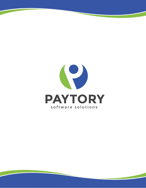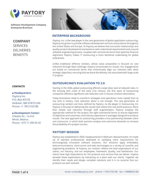

**COMPANY SERVICES** DELIVERIES **BENEFITS** 

## **CONTACTS**

■ **Headquarters:** Paytory Inc. P.O. Box #3133 Andover, MA 01810 USA Phone: +1 7812102186

### ■ **Development Center:**

Chkalov Str., 14-410 Minsk, Belarus Phone: +375 17 395 00 20



# **ENTERPRISE BACKGROUND**

Paytory, Inc. is the new player in the next generation of global application outsourcing. Paytory has grown to provide software development services and products throughout the United States and Europe. At Paytory we believe that successful relationships and quality product development are based on well-understood requirements and a sound software engineering process. Coupled with commercial terms that optimize financial alignment, Paytory makes IT outsourcing a more beneficial undertaking for global enterprises.

Unlike traditional offshore vendors, whose value proposition is focused on cost reduction through labor arbitrage, Paytory concentrates on results. Our engagements are based on commercial terms that contractually align our interests with client strategic objectives, ensuring that we share the delivery risk associated with large-scale IT projects.

# **OUTSOURCING'S EVALUATION TO 2.0**

Starting in the 2004, global outsourcing offered a large labor pool at reduced rates. In the ensuing tech crash of the early 21st century, the first wave of outsourcing companies offered a significant cost reduction over in-house, onshore alternatives.

Today businesses need to transform strategies and operations more rapidly than at any time in history. Cost reduction alone is not enough. The new generation of outsourcing vendors are here, defined by Paytory. As the player in Outsourcing 2.0, Paytory is focused on delivering the results that relieve this real world pressure. More than simple cost reduction through staff augmentation, Paytory employs the appropriate method for the project, the right commercial terms to ensure alignment of objectives and outcomes, and industry experience in packages designed to produce results. The new approach to outsourcing provides a true partnership between client and outsourcer, in which both partners analyze and overcome obstacles to increase the probability of a project success.

# **PAYTORY MISSION**

Paytory was established in 2004, headquartered in Methuen, Massachusetts. It's made up of talented professionals dedicated to satisfying client requirements for technologically innovative software solutions. Our solutions apply embedded, telecommunications, client-server and web technologies to a variety of scientific and engineering problems. At Paytory, our mission reflects the total expectations of our clients, our industry, and our employees: Teamwork, Quality, and Satisfaction. Our clients have high expectations for the products and services that we deliver. Paytory exceeds these expectations by interacting as a team with our clients. Together we identify their needs and design complete solutions and it is no surprise that our products are well received.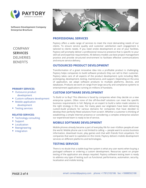



### **PRIMARY SERVICES:**

- Outsource product development
- Custom software development
- **Mobile application** development
- **Testing services**

## **RELATED SERVICES:**

- **Technology consulting**
- Support
- **Localization**
- **Reengineering**
- **Integration**



# **PROFESSIONAL SERVICES**

Paytory offers a wide range of services to meet the most demanding needs of our clients. To ensure service quality and customer satisfaction each engagement is tailored to clients needs. If you need onsite development at one of your facilities, Paytory will promptly deliver a professional resource presence that is specific to your skill-set and expertise requirements. All delivery models use best project management practice and provide structured environment to facilitate effective communications and ensure service delivery.

# **OUTSOURCED PRODUCT DEVELOPMENT**

Transformation of a great innovative idea into a profitable product is challenging. Paytory helps companies to build software products they can sell to their customer. Paytory takes care of all aspects of the product development cycle including R&D, prototyping, development, testing, maintenance, and support. Depending on the area of application, we adapt software products to multiple platforms, devices, and databases. Products we work on range from large security and compliance systems to entertainment applications running on millions of handsets.

# **CUSTOM SOFTWARE DEVELOPMENT**

To Build or to Buy? This dilemma is faced by companies when they decide on a new enterprise system. Often none of the off-the-shelf solutions can meet the specific business requirements in full. Relying on an expert to build a tailor-made solution is the right strategy in this case. For many years our engineers have been delivering custom-build products for various domains for companies that have decided to develop their perfectly fitted solutions from scratch. Whether a customer is thinking of establishing a simple Internet presence or considering a complex enterprise solution our experienced team is ready to be of service.

## **MOBILE SOFTWARE DEVELOPMENT**

Mobile phones already became a part of everyday life for over 4 billion people all over the world. Mobile phone use is not limited to calling — people want to access business information, download music, play games and chat with friends from anywhere. For companies that want to capitalize on this trend, Paytory delivers mobile development services on different platforms and technologies.

## **TESTING SERVICES**

There is no doubt that a stable bug-free system is what any user wants when buying a packaged software or ordering a custom development. Resources spent on proper testing of the application are always requited. Paytory software testing team is ready to address any type of testing such as functional, performance, automation, security, localization and mobile testing.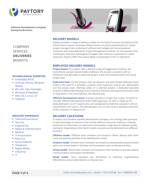

COMPANY **SERVICES DELIVERIES BENEFITS** 

## **TECHNOLOGICAL EXPERTISE:**

- Embedded RTOS
- Android, iPhone, Windows Mobile
- Win API, .Net, Silverlight
- **Windows Embedded**
- **MAC OS X, Linux, QT**
- VxWorks

### **INDUSTRY EXPIRIENCE:**

- **Telecommunications**
- **Security**
- **Engineering**
- Media & Entertainment
- Medical
- **Transportation**
- **Electrical**
- **Semiconductor**
- **Telephone**
- **Digital Media**
- **Industrial**
- $\blacksquare$



# **DELIVERY MODELS**

Paytory provides a range of delivery models for the level of services and delivery time frames clients require. All project delivery teams are led by experienced U.S. based project managers who understand software technologies and use procedures consistent with those defined by Project Management Institute. For the business that is looking to maximum development budgets with minimum investment in capital resources, Paytory offers the unique ability to participate in the Co-Operative.

# **EMPLOYED DELIVERY MODELS**

**Project based.** For projects with a defined scope and aggressive timelines, we recommend a project based model of delivery. We provide customers with an estimation that describes in detail the project scope and schedule before the actual project start.

**Dedicated team.** For the projects that are dynamic and have fluidity dedicated team model is the best fit. It provides customers with maximum control over deliverables and the project team. Working solely on a selected project, a dedicated specialist acquires a deep understanding of your business and technical requirements and is able to meet them in the most efficient and effective way.

**Offshore development center.** If project duration is longer than a year, it's better to consider offshore development center (ODC) approach. An ODC is made up of a dedicated team (-s) of IT experts who are handpicked to meet the customer's skill set requirements and culture. The ultimate goal is for an ODC to be a seamless extension of the customer's IT department.

## **DELIVERY LOCATIONS**

In today's cost sensitive markets development managers are coming under pressure to take advantage of outsource that include offshore resources. Paytory is uniquely positioned to meet these cost demands and maintain a high level of software quality standards. Depending on the Client's needs solutions can be delivered from different locations.

**Offshore model.** Offshore team members are located in Minsk, Belarus with Team Lead coordinating activities at the development center.

**Onshore model.** Onshore team members are located at domestically located facilities within the United States to facilitate communications and coordinate activities.

**Onsite model.** Onsite team members are located at Client facilities to provide optimal communications and project coordination.

**Mixed model.** Team members are distributed to maximize organizational effectiveness and provide delivery at reduced cost.